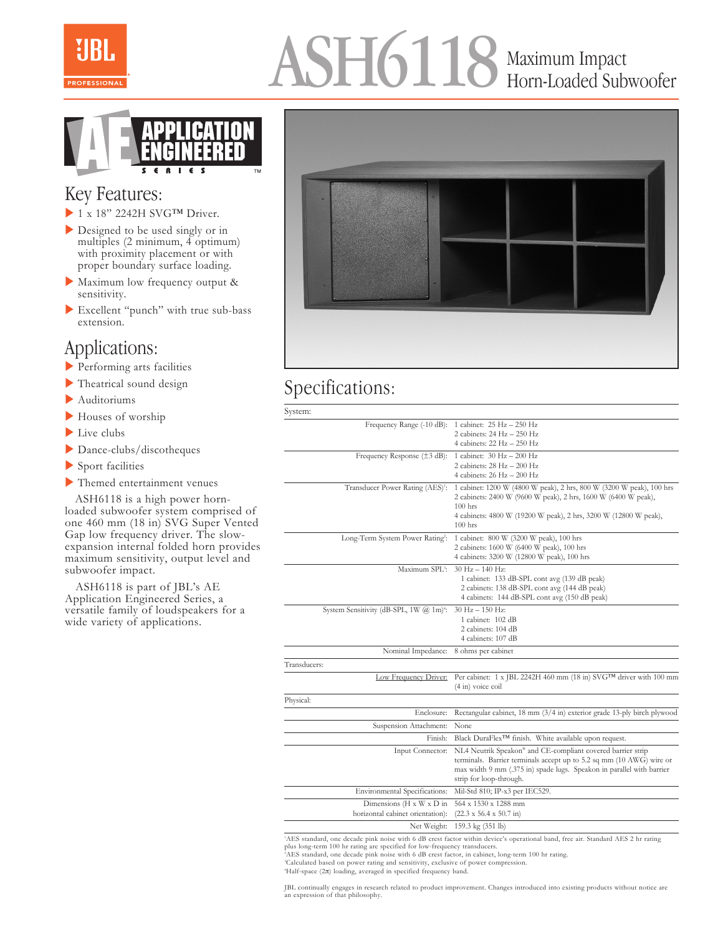

# ASH6118 Maximum Impact Horn-Loaded Subwoofer



#### Key Features:

- $\blacktriangleright$  1 x 18" 2242H SVG<sup>TM</sup> Driver.
- Designed to be used singly or in multiples (2 minimum, 4 optimum) with proximity placement or with proper boundary surface loading.
- Maximum low frequency output & sensitivity.
- Excellent "punch" with true sub-bass extension.

#### Applications:

- $\blacktriangleright$  Performing arts facilities
- $\blacktriangleright$  Theatrical sound design
- $\blacktriangleright$  Auditoriums
- $\blacktriangleright$  Houses of worship
- $\blacktriangleright$  Live clubs
- $\triangleright$  Dance-clubs/discotheques
- $\blacktriangleright$  Sport facilities
- $\blacktriangleright$  Themed entertainment venues

 ASH6118 is a high power hornloaded subwoofer system comprised of one 460 mm (18 in) SVG Super Vented Gap low frequency driver. The slowexpansion internal folded horn provides maximum sensitivity, output level and subwoofer impact.

 ASH6118 is part of JBL's AE Application Engineered Series, a versatile family of loudspeakers for a wide variety of applications.



## Specifications:

System:

| Frequency Range (-10 dB): 1 cabinet: 25 Hz - 250 Hz        |                                                                                                                                 |
|------------------------------------------------------------|---------------------------------------------------------------------------------------------------------------------------------|
|                                                            | 2 cabinets: 24 Hz - 250 Hz                                                                                                      |
|                                                            | 4 cabinets: $22\text{ Hz} - 250\text{ Hz}$                                                                                      |
| Frequency Response $(\pm 3$ dB): 1 cabinet: 30 Hz - 200 Hz |                                                                                                                                 |
|                                                            | 2 cabinets: $28 Hz - 200 Hz$                                                                                                    |
|                                                            | 4 cabinets: $26$ Hz $-$ 200 Hz                                                                                                  |
| Transducer Power Rating (AES) <sup>1</sup> :               | 1 cabinet: 1200 W (4800 W peak), 2 hrs, 800 W (3200 W peak), 100 hrs                                                            |
|                                                            | 2 cabinets: 2400 W (9600 W peak), 2 hrs, 1600 W (6400 W peak),                                                                  |
|                                                            | $100$ hrs                                                                                                                       |
|                                                            | 4 cabinets: 4800 W (19200 W peak), 2 hrs, 3200 W (12800 W peak),                                                                |
|                                                            | $100$ hrs                                                                                                                       |
| Long-Term System Power Rating <sup>2</sup> :               | 1 cabinet: 800 W (3200 W peak), 100 hrs                                                                                         |
|                                                            | 2 cabinets: 1600 W (6400 W peak), 100 hrs                                                                                       |
|                                                            | 4 cabinets: 3200 W (12800 W peak), 100 hrs                                                                                      |
| Maximum SPL3:                                              | $30$ Hz $- 140$ Hz:                                                                                                             |
|                                                            | 1 cabinet: 133 dB-SPL cont avg (139 dB peak)                                                                                    |
|                                                            | 2 cabinets: 138 dB-SPL cont avg (144 dB peak)                                                                                   |
|                                                            | 4 cabinets: 144 dB-SPL cont avg (150 dB peak)                                                                                   |
|                                                            |                                                                                                                                 |
| System Sensitivity (dB-SPL, 1W @ 1m) <sup>4</sup> :        | $30$ Hz $- 150$ Hz:                                                                                                             |
|                                                            | 1 cabinet: 102 dB                                                                                                               |
|                                                            | 2 cabinets: 104 dB                                                                                                              |
|                                                            | 4 cabinets: 107 dB                                                                                                              |
| Nominal Impedance: 8 ohms per cabinet                      |                                                                                                                                 |
| Transducers:                                               |                                                                                                                                 |
| Low Frequency Driver:                                      | Per cabinet: 1 x JBL 2242H 460 mm (18 in) SVGTM driver with 100 mm                                                              |
|                                                            | (4 in) voice coil                                                                                                               |
| Physical:                                                  |                                                                                                                                 |
| Enclosure:                                                 | Rectangular cabinet, 18 mm (3/4 in) exterior grade 13-ply birch plywood                                                         |
| Suspension Attachment:                                     | None                                                                                                                            |
| Finish:                                                    | Black DuraFlex <sup>TM</sup> finish. White available upon request.                                                              |
| Input Connector:                                           | NL4 Neutrik Speakon® and CE-compliant covered barrier strip                                                                     |
|                                                            | terminals. Barrier terminals accept up to 5.2 sq mm (10 AWG) wire or                                                            |
|                                                            | max width 9 mm (.375 in) spade lugs. Speakon in parallel with barrier                                                           |
|                                                            | strip for loop-through.                                                                                                         |
| Environmental Specifications:                              | Mil-Std 810; IP-x3 per IEC529.                                                                                                  |
| Dimensions (H x W x D in                                   | 564 x 1530 x 1288 mm                                                                                                            |
|                                                            |                                                                                                                                 |
| horizontal cabinet orientation):                           | $(22.3 \times 56.4 \times 50.7 \text{ in})$                                                                                     |
| Net Weight:                                                | 159.3 kg (351 lb)                                                                                                               |
|                                                            | AES standard, one decade pink noise with 6 dB crest factor within device's operational band, free air. Standard AES 2 hr rating |

plus long-term 100 hr rating are specified for low-frequency transducers.

2 AES standard, one decade pink noise with 6 dB crest factor, in cabinet, long-term 100 hr rating.

3 Calculated based on power rating and sensitivity, exclusive of power compression. 4 Half-space (2π) loading, averaged in specified frequency band.

JBL continually engages in research related to product improvement. Changes introduced into existing products without notice are an expression of that philosophy.